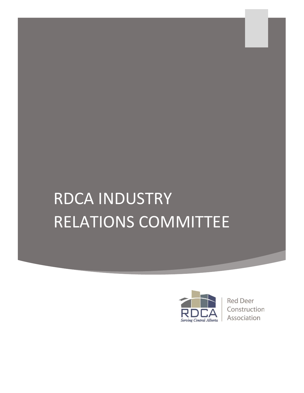## RDCA INDUSTRY RELATIONS COMMITTEE



**Red Deer** Construction Association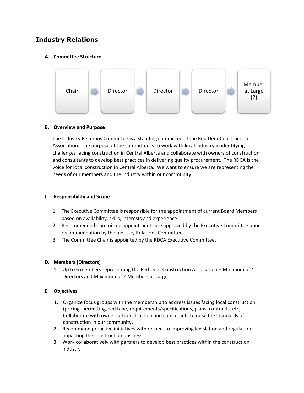#### **Industry Relations**

#### **A. Committee Structure**



#### **B. Overview and Purpose**

The Industry Relations Committee is a standing committee of the Red Deer Construction Association. The purpose of the committee is to work with local industry in identifying challenges facing construction in Central Alberta and collaborate with owners of construction and consultants to develop best practices in delivering quality procurement. The RDCA is the voice for local construction in Central Alberta. We want to ensure we are representing the needs of our members and the industry within our community.

#### **C. Responsibility and Scope**

- 1. The Executive Committee is responsible for the appointment of current Board Members based on availability, skills, interests and experience.
- 2. Recommended Committee appointments are approved by the Executive Committee upon recommendation by the Industry Relations Committee.
- 3. The Committee Chair is appointed by the RDCA Executive Committee.

#### **D. Members (Directors)**

1. Up to 6 members representing the Red Deer Construction Association – Minimum of 4 Directors and Maximum of 2 Members at Large

#### **E. Objectives**

- 1. Organize focus groups with the membership to address issues facing local construction (pricing, permitting, red tape, requirements/specifications, plans, contracts, etc) – Collaborate with owners of construction and consultants to raise the standards of construction in our community.
- 2. Recommend proactive initiatives with respect to improving legislation and regulation impacting the construction business
- 3. Work collaboratively with partners to develop best practices within the construction industry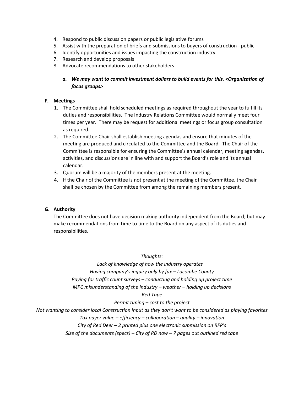- 4. Respond to public discussion papers or public legislative forums
- 5. Assist with the preparation of briefs and submissions to buyers of construction public
- 6. Identify opportunities and issues impacting the construction industry
- 7. Research and develop proposals
- 8. Advocate recommendations to other stakeholders

#### *a. We may want to commit investment dollars to build events for this. <Organization of focus groups>*

#### **F. Meetings**

- 1. The Committee shall hold scheduled meetings as required throughout the year to fulfill its duties and responsibilities. The Industry Relations Committee would normally meet four times per year. There may be request for additional meetings or focus group consultation as required.
- 2. The Committee Chair shall establish meeting agendas and ensure that minutes of the meeting are produced and circulated to the Committee and the Board. The Chair of the Committee is responsible for ensuring the Committee's annual calendar, meeting agendas, activities, and discussions are in line with and support the Board's role and its annual calendar.
- 3. Quorum will be a majority of the members present at the meeting.
- 4. If the Chair of the Committee is not present at the meeting of the Committee, the Chair shall be chosen by the Committee from among the remaining members present.

#### **G. Authority**

The Committee does not have decision making authority independent from the Board; but may make recommendations from time to time to the Board on any aspect of its duties and responsibilities.

#### *Thoughts:*

*Lack of knowledge of how the industry operates – Having company's inquiry only by fax – Lacombe County Paying for traffic count surveys – conducting and holding up project time MPC misunderstanding of the industry – weather – holding up decisions*

#### *Red Tape*

*Permit timing – cost to the project*

*Not wanting to consider local Construction input as they don't want to be considered as playing favorites*

*Tax payer value – efficiency – collaboration – quality – innovation*

*City of Red Deer – 2 printed plus one electronic submission on RFP's*

*Size of the documents (specs) – City of RD now – 7 pages out outlined red tape*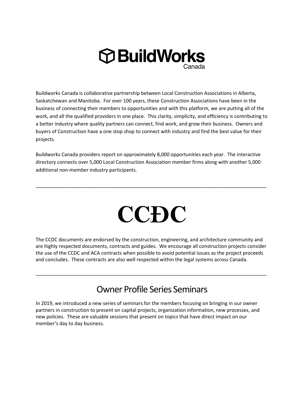

Buildworks Canada is collaborative partnership between Local Construction Associations in Alberta, Saskatchewan and Manitoba. For over 100 years, these Construction Associations have been in the business of connecting their members to opportunities and with this platform, we are putting all of the work, and all the qualified providers in one place. This clarity, simplicity, and efficiency is contributing to a better industry where quality partners can connect, find work, and grow their business. Owners and buyers of Construction have a one stop shop to connect with industry and find the best value for their projects.

Buildworks Canada providers report on approximately 8,000 opportunities each year. The interactive directory connects over 5,000 Local Construction Association member firms along with another 5,000 additional non-member industry participants.

# CCĐC

\_\_\_\_\_\_\_\_\_\_\_\_\_\_\_\_\_\_\_\_\_\_\_\_\_\_\_\_\_\_\_\_\_\_\_\_\_\_\_\_\_\_\_\_\_\_\_\_\_\_\_\_\_\_\_\_\_\_\_\_\_\_\_\_\_\_\_\_\_\_\_\_\_\_\_\_\_\_\_\_\_\_\_\_\_

The CCDC documents are endorsed by the construction, engineering, and architecture community and are highly respected documents, contracts and guides. We encourage all construction projects consider the use of the CCDC and ACA contracts when possible to avoid potential issues as the project proceeds and concludes. These contracts are also well respected within the legal systems across Canada.

## Owner Profile Series Seminars

\_\_\_\_\_\_\_\_\_\_\_\_\_\_\_\_\_\_\_\_\_\_\_\_\_\_\_\_\_\_\_\_\_\_\_\_\_\_\_\_\_\_\_\_\_\_\_\_\_\_\_\_\_\_\_\_\_\_\_\_\_\_\_\_\_\_\_\_\_\_\_\_\_\_\_\_\_\_\_\_\_\_\_\_\_

In 2019, we introduced a new series of seminars for the members focusing on bringing in our owner partners in construction to present on capital projects, organization information, new processes, and new policies. These are valuable sessions that present on topics that have direct impact on our member's day to day business.